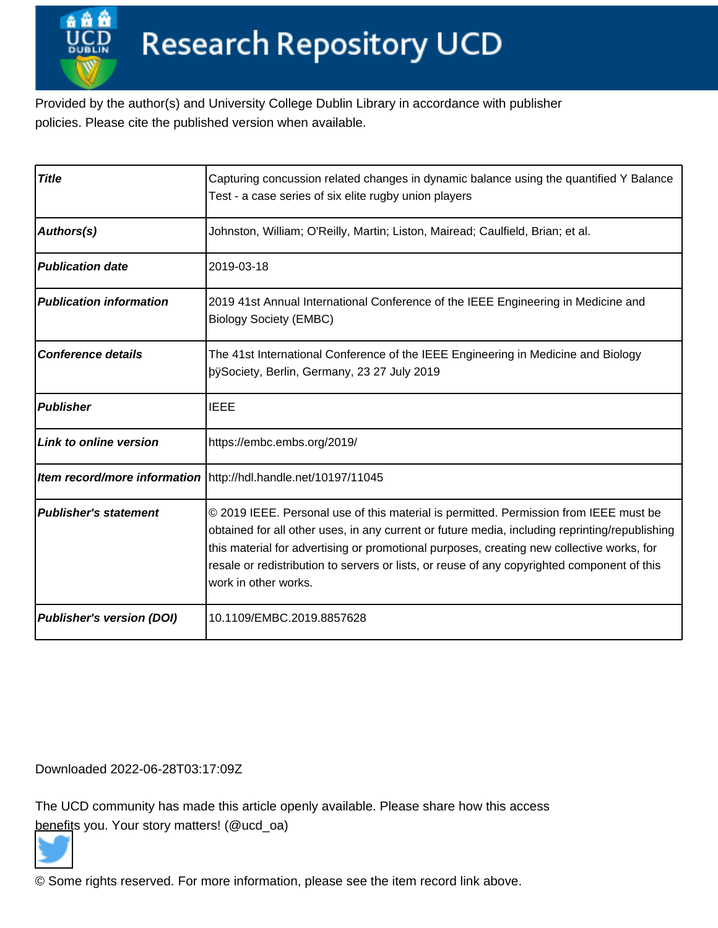Provided by the author(s) and University College Dublin Library in accordance with publisher policies. Please cite the published version when available.

| <b>Title</b>                     | Capturing concussion related changes in dynamic balance using the quantified Y Balance<br>Test - a case series of six elite rugby union players                                                                                                                                                                                                                                                             |
|----------------------------------|-------------------------------------------------------------------------------------------------------------------------------------------------------------------------------------------------------------------------------------------------------------------------------------------------------------------------------------------------------------------------------------------------------------|
| Authors(s)                       | Johnston, William; O'Reilly, Martin; Liston, Mairead; Caulfield, Brian; et al.                                                                                                                                                                                                                                                                                                                              |
| <b>Publication date</b>          | 2019-03-18                                                                                                                                                                                                                                                                                                                                                                                                  |
| <b>Publication information</b>   | 2019 41st Annual International Conference of the IEEE Engineering in Medicine and<br><b>Biology Society (EMBC)</b>                                                                                                                                                                                                                                                                                          |
| <b>Conference details</b>        | The 41st International Conference of the IEEE Engineering in Medicine and Biology<br>by Society, Berlin, Germany, 23 27 July 2019                                                                                                                                                                                                                                                                           |
| <b>Publisher</b>                 | <b>IEEE</b>                                                                                                                                                                                                                                                                                                                                                                                                 |
| Link to online version           | https://embc.embs.org/2019/                                                                                                                                                                                                                                                                                                                                                                                 |
|                                  | Item record/more information   http://hdl.handle.net/10197/11045                                                                                                                                                                                                                                                                                                                                            |
| <b>Publisher's statement</b>     | © 2019 IEEE. Personal use of this material is permitted. Permission from IEEE must be<br>obtained for all other uses, in any current or future media, including reprinting/republishing<br>this material for advertising or promotional purposes, creating new collective works, for<br>resale or redistribution to servers or lists, or reuse of any copyrighted component of this<br>work in other works. |
| <b>Publisher's version (DOI)</b> | 10.1109/EMBC.2019.8857628                                                                                                                                                                                                                                                                                                                                                                                   |

Downloaded 2022-06-28T03:17:09Z

The UCD community has made this article openly available. Please share how this access [benefit](https://twitter.com/intent/tweet?via=ucd_oa&text=DOI%3A10.1109%2FEMBC.2019.8857628&url=http%3A%2F%2Fhdl.handle.net%2F10197%2F11045)s you. Your story matters! (@ucd\_oa)



© Some rights reserved. For more information, please see the item record link above.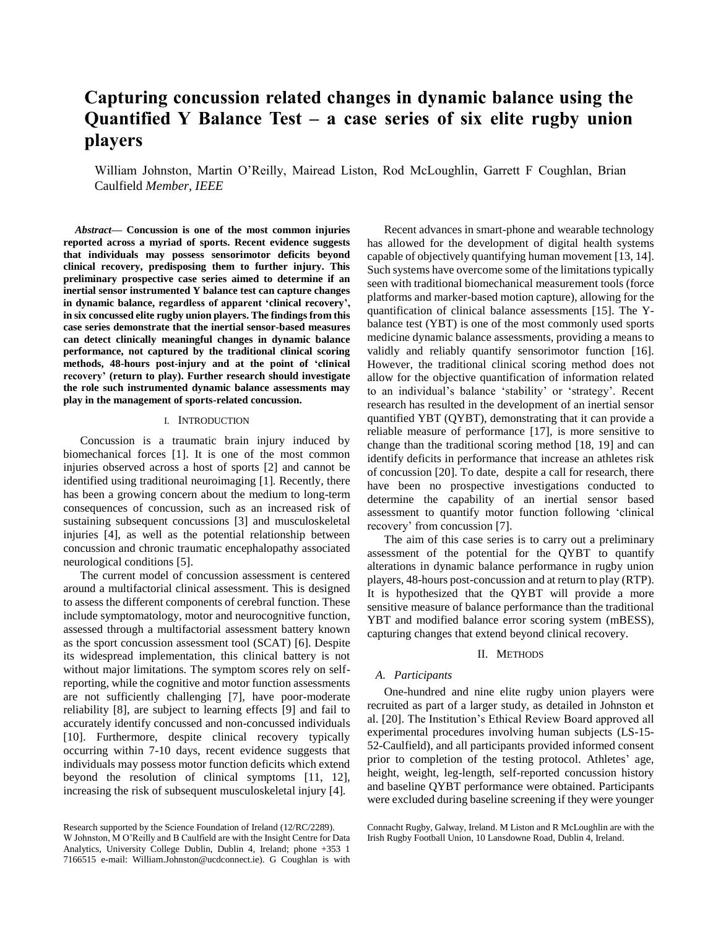# **Capturing concussion related changes in dynamic balance using the Quantified Y Balance Test – a case series of six elite rugby union players**

William Johnston, Martin O'Reilly, Mairead Liston, Rod McLoughlin, Garrett F Coughlan, Brian Caulfield *Member, IEEE*

*Abstract***— Concussion is one of the most common injuries reported across a myriad of sports. Recent evidence suggests that individuals may possess sensorimotor deficits beyond clinical recovery, predisposing them to further injury. This preliminary prospective case series aimed to determine if an inertial sensor instrumented Y balance test can capture changes in dynamic balance, regardless of apparent 'clinical recovery', in six concussed elite rugby union players. The findings from this case series demonstrate that the inertial sensor-based measures can detect clinically meaningful changes in dynamic balance performance, not captured by the traditional clinical scoring methods, 48-hours post-injury and at the point of 'clinical recovery' (return to play). Further research should investigate the role such instrumented dynamic balance assessments may play in the management of sports-related concussion.**

#### I. INTRODUCTION

Concussion is a traumatic brain injury induced by biomechanical forces [1]. It is one of the most common injuries observed across a host of sports [2] and cannot be identified using traditional neuroimaging [1]*.* Recently, there has been a growing concern about the medium to long-term consequences of concussion, such as an increased risk of sustaining subsequent concussions [3] and musculoskeletal injuries [4], as well as the potential relationship between concussion and chronic traumatic encephalopathy associated neurological conditions [5].

The current model of concussion assessment is centered around a multifactorial clinical assessment. This is designed to assess the different components of cerebral function. These include symptomatology, motor and neurocognitive function, assessed through a multifactorial assessment battery known as the sport concussion assessment tool (SCAT) [6]. Despite its widespread implementation, this clinical battery is not without major limitations. The symptom scores rely on selfreporting, while the cognitive and motor function assessments are not sufficiently challenging [7], have poor-moderate reliability [8], are subject to learning effects [9] and fail to accurately identify concussed and non-concussed individuals [10]. Furthermore, despite clinical recovery typically occurring within 7-10 days, recent evidence suggests that individuals may possess motor function deficits which extend beyond the resolution of clinical symptoms [11, 12], increasing the risk of subsequent musculoskeletal injury [4]*.*

Recent advances in smart-phone and wearable technology has allowed for the development of digital health systems capable of objectively quantifying human movement [13, 14]. Such systems have overcome some of the limitations typically seen with traditional biomechanical measurement tools (force platforms and marker-based motion capture), allowing for the quantification of clinical balance assessments [15]. The Ybalance test (YBT) is one of the most commonly used sports medicine dynamic balance assessments, providing a means to validly and reliably quantify sensorimotor function [16]. However, the traditional clinical scoring method does not allow for the objective quantification of information related to an individual's balance 'stability' or 'strategy'. Recent research has resulted in the development of an inertial sensor quantified YBT (QYBT), demonstrating that it can provide a reliable measure of performance [17], is more sensitive to change than the traditional scoring method [18, 19] and can identify deficits in performance that increase an athletes risk of concussion [20]. To date, despite a call for research, there have been no prospective investigations conducted to determine the capability of an inertial sensor based assessment to quantify motor function following 'clinical recovery' from concussion [7].

The aim of this case series is to carry out a preliminary assessment of the potential for the QYBT to quantify alterations in dynamic balance performance in rugby union players, 48-hours post-concussion and at return to play (RTP). It is hypothesized that the QYBT will provide a more sensitive measure of balance performance than the traditional YBT and modified balance error scoring system (mBESS), capturing changes that extend beyond clinical recovery.

### II. METHODS

# *A. Participants*

One-hundred and nine elite rugby union players were recruited as part of a larger study, as detailed in Johnston et al. [20]. The Institution's Ethical Review Board approved all experimental procedures involving human subjects (LS-15- 52-Caulfield), and all participants provided informed consent prior to completion of the testing protocol. Athletes' age, height, weight, leg-length, self-reported concussion history and baseline QYBT performance were obtained. Participants were excluded during baseline screening if they were younger

Research supported by the Science Foundation of Ireland (12/RC/2289). W Johnston, M O'Reilly and B Caulfield are with the Insight Centre for Data Analytics, University College Dublin, Dublin 4, Ireland; phone +353 1 7166515 e-mail: William.Johnston@ucdconnect.ie). G Coughlan is with

Connacht Rugby, Galway, Ireland. M Liston and R McLoughlin are with the Irish Rugby Football Union, 10 Lansdowne Road, Dublin 4, Ireland.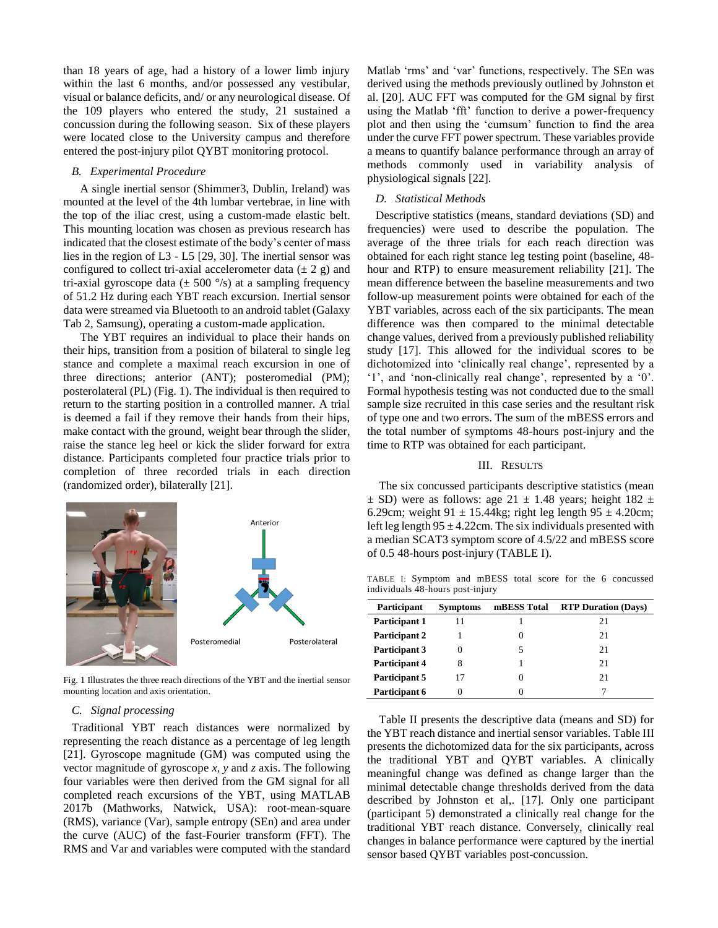than 18 years of age, had a history of a lower limb injury within the last 6 months, and/or possessed any vestibular, visual or balance deficits, and/ or any neurological disease. Of the 109 players who entered the study, 21 sustained a concussion during the following season. Six of these players were located close to the University campus and therefore entered the post-injury pilot QYBT monitoring protocol.

## *B. Experimental Procedure*

A single inertial sensor (Shimmer3, Dublin, Ireland) was mounted at the level of the 4th lumbar vertebrae, in line with the top of the iliac crest, using a custom-made elastic belt. This mounting location was chosen as previous research has indicated that the closest estimate of the body's center of mass lies in the region of L3 - L5 [29, 30]. The inertial sensor was configured to collect tri-axial accelerometer data  $(\pm 2 \text{ g})$  and tri-axial gyroscope data ( $\pm$  500  $\degree$ /s) at a sampling frequency of 51.2 Hz during each YBT reach excursion. Inertial sensor data were streamed via Bluetooth to an android tablet (Galaxy Tab 2, Samsung), operating a custom-made application.

The YBT requires an individual to place their hands on their hips, transition from a position of bilateral to single leg stance and complete a maximal reach excursion in one of three directions; anterior (ANT); posteromedial (PM); posterolateral (PL) (Fig. 1). The individual is then required to return to the starting position in a controlled manner. A trial is deemed a fail if they remove their hands from their hips, make contact with the ground, weight bear through the slider, raise the stance leg heel or kick the slider forward for extra distance. Participants completed four practice trials prior to completion of three recorded trials in each direction (randomized order), bilaterally [21].



Fig. 1 Illustrates the three reach directions of the YBT and the inertial sensor mounting location and axis orientation.

# *C. Signal processing*

Traditional YBT reach distances were normalized by representing the reach distance as a percentage of leg length [21]. Gyroscope magnitude (GM) was computed using the vector magnitude of gyroscope *x, y* and *z* axis. The following four variables were then derived from the GM signal for all completed reach excursions of the YBT, using MATLAB 2017b (Mathworks, Natwick, USA): root-mean-square (RMS), variance (Var), sample entropy (SEn) and area under the curve (AUC) of the fast-Fourier transform (FFT). The RMS and Var and variables were computed with the standard

Matlab 'rms' and 'var' functions, respectively. The SEn was derived using the methods previously outlined by Johnston et al. [20]. AUC FFT was computed for the GM signal by first using the Matlab 'fft' function to derive a power-frequency plot and then using the 'cumsum' function to find the area under the curve FFT power spectrum. These variables provide a means to quantify balance performance through an array of methods commonly used in variability analysis of physiological signals [22].

# *D. Statistical Methods*

Descriptive statistics (means, standard deviations (SD) and frequencies) were used to describe the population. The average of the three trials for each reach direction was obtained for each right stance leg testing point (baseline, 48 hour and RTP) to ensure measurement reliability [21]. The mean difference between the baseline measurements and two follow-up measurement points were obtained for each of the YBT variables, across each of the six participants. The mean difference was then compared to the minimal detectable change values, derived from a previously published reliability study [17]. This allowed for the individual scores to be dichotomized into 'clinically real change', represented by a '1', and 'non-clinically real change', represented by a '0'. Formal hypothesis testing was not conducted due to the small sample size recruited in this case series and the resultant risk of type one and two errors. The sum of the mBESS errors and the total number of symptoms 48-hours post-injury and the time to RTP was obtained for each participant.

### III. RESULTS

The six concussed participants descriptive statistics (mean  $\pm$  SD) were as follows: age 21  $\pm$  1.48 years; height 182  $\pm$ 6.29cm; weight 91  $\pm$  15.44kg; right leg length 95  $\pm$  4.20cm; left leg length  $95 \pm 4.22$ cm. The six individuals presented with a median SCAT3 symptom score of 4.5/22 and mBESS score of 0.5 48-hours post-injury (TABLE I).

TABLE I: Symptom and mBESS total score for the 6 concussed individuals 48-hours post-injury

| Participant   | <b>Symptoms</b> | mBESS Total | <b>RTP Duration (Days)</b> |  |  |  |  |
|---------------|-----------------|-------------|----------------------------|--|--|--|--|
| Participant 1 | 11              |             | 21                         |  |  |  |  |
| Participant 2 |                 | $\theta$    | 21                         |  |  |  |  |
| Participant 3 |                 |             | 21                         |  |  |  |  |
| Participant 4 | 8               |             | 21                         |  |  |  |  |
| Participant 5 | 17              | 0           | 21                         |  |  |  |  |
| Participant 6 |                 | 0           |                            |  |  |  |  |

Table II presents the descriptive data (means and SD) for the YBT reach distance and inertial sensor variables. Table III presents the dichotomized data for the six participants, across the traditional YBT and QYBT variables. A clinically meaningful change was defined as change larger than the minimal detectable change thresholds derived from the data described by Johnston et al,. [17]. Only one participant (participant 5) demonstrated a clinically real change for the traditional YBT reach distance. Conversely, clinically real changes in balance performance were captured by the inertial sensor based QYBT variables post-concussion.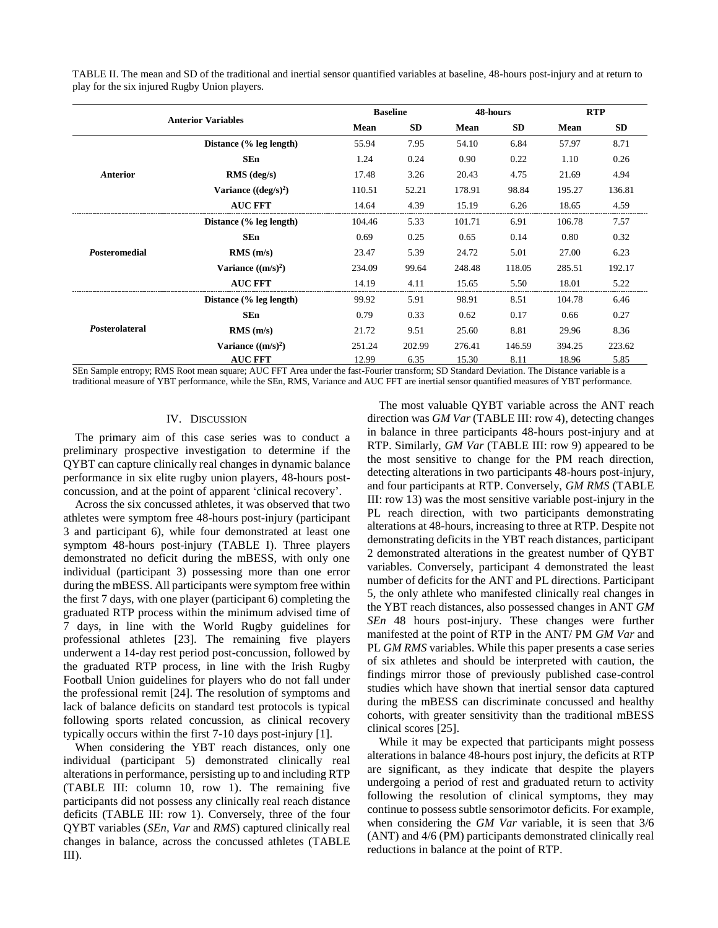| <b>Anterior Variables</b> |                         |           | <b>Baseline</b> |           | 48-hours | <b>RTP</b> |        |  |
|---------------------------|-------------------------|-----------|-----------------|-----------|----------|------------|--------|--|
|                           | Mean                    | <b>SD</b> | Mean            | <b>SD</b> | Mean     | <b>SD</b>  |        |  |
|                           | Distance (% leg length) | 55.94     | 7.95            | 54.10     | 6.84     | 57.97      | 8.71   |  |
|                           | <b>SEn</b>              | 1.24      | 0.24            | 0.90      | 0.22     | 1.10       | 0.26   |  |
| <b>Anterior</b>           | $RMS$ (deg/s)           | 17.48     | 3.26            | 20.43     | 4.75     | 21.69      | 4.94   |  |
|                           | Variance $((deg/s)^2)$  | 110.51    | 52.21           | 178.91    | 98.84    | 195.27     | 136.81 |  |
|                           | <b>AUC FFT</b>          | 14.64     | 4.39            | 15.19     | 6.26     | 18.65      | 4.59   |  |
|                           | Distance (% leg length) | 104.46    | 5.33            | 101.71    | 6.91     | 106.78     | 7.57   |  |
|                           | SEn                     | 0.69      | 0.25            | 0.65      | 0.14     | 0.80       | 0.32   |  |
| <b>Posteromedial</b>      | RMS(m/s)                | 23.47     | 5.39            | 24.72     | 5.01     | 27.00      | 6.23   |  |
|                           | Variance $((m/s)^2)$    | 234.09    | 99.64           | 248.48    | 118.05   | 285.51     | 192.17 |  |
|                           | <b>AUC FFT</b>          | 14.19     | 4.11            | 15.65     | 5.50     | 18.01      | 5.22   |  |
|                           | Distance (% leg length) | 99.92     | 5.91            | 98.91     | 8.51     | 104.78     | 6.46   |  |
|                           | <b>SEn</b>              | 0.79      | 0.33            | 0.62      | 0.17     | 0.66       | 0.27   |  |
| Posterolateral            | $RMS$ (m/s)             | 21.72     | 9.51            | 25.60     | 8.81     | 29.96      | 8.36   |  |
|                           | Variance $((m/s)^2)$    | 251.24    | 202.99          | 276.41    | 146.59   | 394.25     | 223.62 |  |
|                           | <b>AUC FFT</b>          | 12.99     | 6.35            | 15.30     | 8.11     | 18.96      | 5.85   |  |

TABLE II. The mean and SD of the traditional and inertial sensor quantified variables at baseline, 48-hours post-injury and at return to play for the six injured Rugby Union players.

SEn Sample entropy; RMS Root mean square; AUC FFT Area under the fast-Fourier transform; SD Standard Deviation. The Distance variable is a traditional measure of YBT performance, while the SEn, RMS, Variance and AUC FFT are inertial sensor quantified measures of YBT performance.

# IV. DISCUSSION

The primary aim of this case series was to conduct a preliminary prospective investigation to determine if the QYBT can capture clinically real changes in dynamic balance performance in six elite rugby union players, 48-hours postconcussion, and at the point of apparent 'clinical recovery'.

Across the six concussed athletes, it was observed that two athletes were symptom free 48-hours post-injury (participant 3 and participant 6), while four demonstrated at least one symptom 48-hours post-injury (TABLE I). Three players demonstrated no deficit during the mBESS, with only one individual (participant 3) possessing more than one error during the mBESS. All participants were symptom free within the first 7 days, with one player (participant 6) completing the graduated RTP process within the minimum advised time of 7 days, in line with the World Rugby guidelines for professional athletes [23]. The remaining five players underwent a 14-day rest period post-concussion, followed by the graduated RTP process, in line with the Irish Rugby Football Union guidelines for players who do not fall under the professional remit [24]. The resolution of symptoms and lack of balance deficits on standard test protocols is typical following sports related concussion, as clinical recovery typically occurs within the first 7-10 days post-injury [1].

When considering the YBT reach distances, only one individual (participant 5) demonstrated clinically real alterations in performance, persisting up to and including RTP (TABLE III: column 10, row 1). The remaining five participants did not possess any clinically real reach distance deficits (TABLE III: row 1). Conversely, three of the four QYBT variables (*SEn, Var* and *RMS*) captured clinically real changes in balance, across the concussed athletes (TABLE III).

The most valuable QYBT variable across the ANT reach direction was *GM Var* (TABLE III: row 4), detecting changes in balance in three participants 48-hours post-injury and at RTP. Similarly, *GM Var* (TABLE III: row 9) appeared to be the most sensitive to change for the PM reach direction, detecting alterations in two participants 48-hours post-injury, and four participants at RTP. Conversely, *GM RMS* (TABLE III: row 13) was the most sensitive variable post-injury in the PL reach direction, with two participants demonstrating alterations at 48-hours, increasing to three at RTP. Despite not demonstrating deficits in the YBT reach distances, participant 2 demonstrated alterations in the greatest number of QYBT variables. Conversely, participant 4 demonstrated the least number of deficits for the ANT and PL directions. Participant 5, the only athlete who manifested clinically real changes in the YBT reach distances, also possessed changes in ANT *GM SEn* 48 hours post-injury. These changes were further manifested at the point of RTP in the ANT/ PM *GM Var* and PL *GM RMS* variables. While this paper presents a case series of six athletes and should be interpreted with caution, the findings mirror those of previously published case-control studies which have shown that inertial sensor data captured during the mBESS can discriminate concussed and healthy cohorts, with greater sensitivity than the traditional mBESS clinical scores [25].

While it may be expected that participants might possess alterations in balance 48-hours post injury, the deficits at RTP are significant, as they indicate that despite the players undergoing a period of rest and graduated return to activity following the resolution of clinical symptoms, they may continue to possess subtle sensorimotor deficits. For example, when considering the *GM Var* variable, it is seen that 3/6 (ANT) and 4/6 (PM) participants demonstrated clinically real reductions in balance at the point of RTP.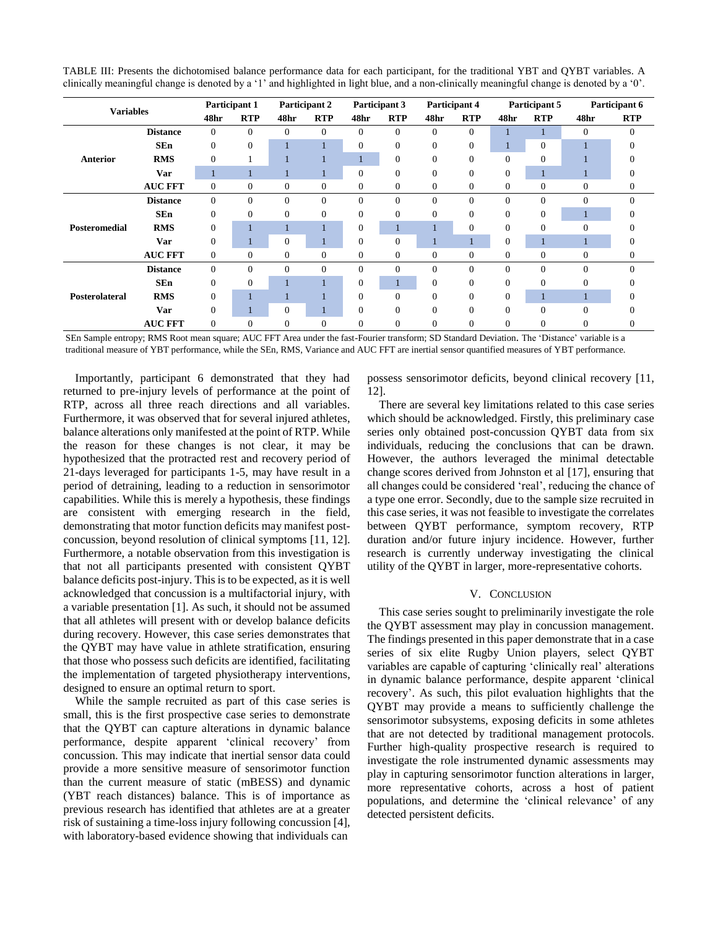| <b>Variables</b>     |                 | Participant 1  |              | <b>Participant 2</b> |                | Participant 3  |                  | Participant 4  |                | Participant 5    |                | Participant 6    |              |
|----------------------|-----------------|----------------|--------------|----------------------|----------------|----------------|------------------|----------------|----------------|------------------|----------------|------------------|--------------|
|                      |                 | 48hr           | <b>RTP</b>   | 48hr                 | <b>RTP</b>     | 48hr           | <b>RTP</b>       | 48hr           | <b>RTP</b>     | 48hr             | <b>RTP</b>     | 48hr             | <b>RTP</b>   |
| Anterior             | <b>Distance</b> | $\Omega$       | $\Omega$     | $\mathbf{0}$         | $\Omega$       | $\mathbf{0}$   | $\Omega$         | $\Omega$       | $\Omega$       |                  |                | $\mathbf{0}$     | $\Omega$     |
|                      | <b>SEn</b>      | $\overline{0}$ | $\mathbf{0}$ |                      |                | $\overline{0}$ | $\mathbf{0}$     | $\overline{0}$ | $\mathbf{0}$   | п                | $\overline{0}$ |                  |              |
|                      | <b>RMS</b>      | $\Omega$       |              |                      |                | 1              | $\mathbf{0}$     | $\theta$       | $\overline{0}$ | $\overline{0}$   | $\Omega$       |                  |              |
|                      | Var             |                |              | ш                    |                | $\Omega$       | $\Omega$         | $\theta$       | $\Omega$       | $\overline{0}$   |                |                  |              |
|                      | <b>AUC FFT</b>  | $\overline{0}$ | $\mathbf{0}$ | $\boldsymbol{0}$     | $\overline{0}$ | $\mathbf{0}$   | $\boldsymbol{0}$ | $\mathbf{0}$   | $\overline{0}$ | $\boldsymbol{0}$ | $\overline{0}$ | $\boldsymbol{0}$ | $\mathbf{0}$ |
| <b>Posteromedial</b> | <b>Distance</b> | $\Omega$       | $\mathbf{0}$ | $\mathbf{0}$         | $\Omega$       | $\overline{0}$ | $\mathbf{0}$     | $\theta$       | $\overline{0}$ | $\mathbf{0}$     | $\Omega$       | $\theta$         | $\Omega$     |
|                      | <b>SEn</b>      | $\mathbf{0}$   | $\mathbf{0}$ | $\mathbf{0}$         | $\mathbf{0}$   | $\overline{0}$ | $\mathbf{0}$     | $\overline{0}$ | $\overline{0}$ | $\overline{0}$   | $\theta$       |                  | 0            |
|                      | <b>RMS</b>      | $\Omega$       |              |                      |                | $\mathbf{0}$   |                  |                | $\overline{0}$ | $\theta$         | $\Omega$       | $\Omega$         |              |
|                      | Var             | $\Omega$       |              | $\mathbf{0}$         |                | $\mathbf{0}$   | $\overline{0}$   |                | $\mathbf{1}$   | $\overline{0}$   |                |                  |              |
|                      | <b>AUC FFT</b>  | $\overline{0}$ | $\mathbf{0}$ | $\mathbf{0}$         | $\overline{0}$ | $\mathbf{0}$   | $\mathbf{0}$     | $\overline{0}$ | $\overline{0}$ | $\overline{0}$   | $\overline{0}$ | $\boldsymbol{0}$ | 0            |
| Posterolateral       | <b>Distance</b> | $\Omega$       | $\mathbf{0}$ | $\mathbf{0}$         | $\Omega$       | $\mathbf{0}$   | $\mathbf{0}$     | $\theta$       | $\overline{0}$ | $\Omega$         | $\Omega$       | $\theta$         | $\Omega$     |
|                      | <b>SEn</b>      | $\Omega$       | $\mathbf{0}$ |                      |                | $\mathbf{0}$   | п                | $\overline{0}$ | $\overline{0}$ | $\overline{0}$   | $\overline{0}$ | $\theta$         |              |
|                      | <b>RMS</b>      | $\Omega$       |              |                      |                | $\Omega$       | $\Omega$         | $\theta$       | $\overline{0}$ | $\theta$         |                |                  |              |
|                      | Var             | $\Omega$       |              | $\mathbf{0}$         |                | $\Omega$       | $\Omega$         | $\Omega$       | $\Omega$       | $\Omega$         | $\Omega$       | $\Omega$         |              |
|                      | <b>AUC FFT</b>  | $\mathbf{0}$   | $\mathbf{0}$ | $\mathbf{0}$         | $\Omega$       | $\mathbf{0}$   | 0                | $\theta$       | $\overline{0}$ | $\theta$         | $\Omega$       | $\overline{0}$   |              |

TABLE III: Presents the dichotomised balance performance data for each participant, for the traditional YBT and QYBT variables. A clinically meaningful change is denoted by a '1' and highlighted in light blue, and a non-clinically meaningful change is denoted by a '0'.

SEn Sample entropy; RMS Root mean square; AUC FFT Area under the fast-Fourier transform; SD Standard Deviation*.* The 'Distance' variable is a traditional measure of YBT performance, while the SEn, RMS, Variance and AUC FFT are inertial sensor quantified measures of YBT performance.

Importantly, participant 6 demonstrated that they had returned to pre-injury levels of performance at the point of RTP, across all three reach directions and all variables. Furthermore, it was observed that for several injured athletes, balance alterations only manifested at the point of RTP. While the reason for these changes is not clear, it may be hypothesized that the protracted rest and recovery period of 21-days leveraged for participants 1-5, may have result in a period of detraining, leading to a reduction in sensorimotor capabilities. While this is merely a hypothesis, these findings are consistent with emerging research in the field, demonstrating that motor function deficits may manifest postconcussion, beyond resolution of clinical symptoms [11, 12]. Furthermore, a notable observation from this investigation is that not all participants presented with consistent QYBT balance deficits post-injury. This is to be expected, as it is well acknowledged that concussion is a multifactorial injury, with a variable presentation [1]. As such, it should not be assumed that all athletes will present with or develop balance deficits during recovery. However, this case series demonstrates that the QYBT may have value in athlete stratification, ensuring that those who possess such deficits are identified, facilitating the implementation of targeted physiotherapy interventions, designed to ensure an optimal return to sport.

While the sample recruited as part of this case series is small, this is the first prospective case series to demonstrate that the QYBT can capture alterations in dynamic balance performance, despite apparent 'clinical recovery' from concussion. This may indicate that inertial sensor data could provide a more sensitive measure of sensorimotor function than the current measure of static (mBESS) and dynamic (YBT reach distances) balance. This is of importance as previous research has identified that athletes are at a greater risk of sustaining a time-loss injury following concussion [4], with laboratory-based evidence showing that individuals can

possess sensorimotor deficits, beyond clinical recovery [11, 12].

There are several key limitations related to this case series which should be acknowledged. Firstly, this preliminary case series only obtained post-concussion QYBT data from six individuals, reducing the conclusions that can be drawn. However, the authors leveraged the minimal detectable change scores derived from Johnston et al [17], ensuring that all changes could be considered 'real', reducing the chance of a type one error. Secondly, due to the sample size recruited in this case series, it was not feasible to investigate the correlates between QYBT performance, symptom recovery, RTP duration and/or future injury incidence. However, further research is currently underway investigating the clinical utility of the QYBT in larger, more-representative cohorts.

## V. CONCLUSION

This case series sought to preliminarily investigate the role the QYBT assessment may play in concussion management. The findings presented in this paper demonstrate that in a case series of six elite Rugby Union players, select QYBT variables are capable of capturing 'clinically real' alterations in dynamic balance performance, despite apparent 'clinical recovery'. As such, this pilot evaluation highlights that the QYBT may provide a means to sufficiently challenge the sensorimotor subsystems, exposing deficits in some athletes that are not detected by traditional management protocols. Further high-quality prospective research is required to investigate the role instrumented dynamic assessments may play in capturing sensorimotor function alterations in larger, more representative cohorts, across a host of patient populations, and determine the 'clinical relevance' of any detected persistent deficits.